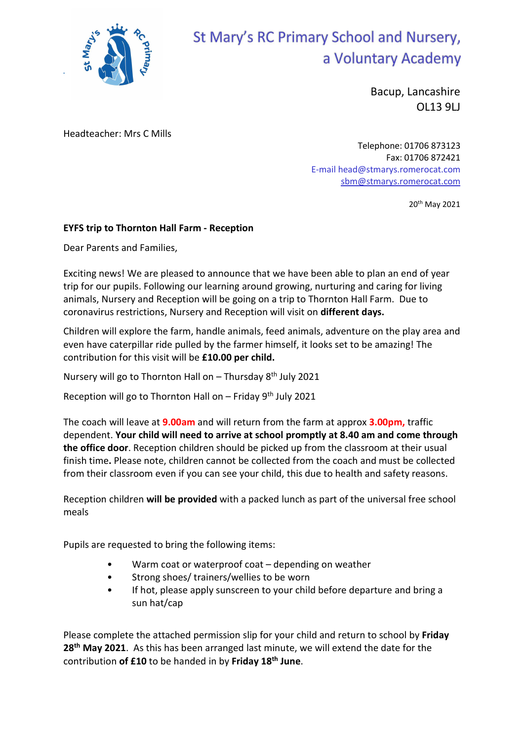

## St Mary's RC Primary School and Nursery, a Voluntary Academy

Bacup, Lancashire OL13 9LJ

Headteacher: Mrs C Mills

Telephone: 01706 873123 Fax: 01706 872421 E-mail head@stmarys.romerocat.com sbm@stmarys.romerocat.com

20th May 2021

## EYFS trip to Thornton Hall Farm - Reception

Dear Parents and Families,

Exciting news! We are pleased to announce that we have been able to plan an end of year trip for our pupils. Following our learning around growing, nurturing and caring for living animals, Nursery and Reception will be going on a trip to Thornton Hall Farm. Due to coronavirus restrictions, Nursery and Reception will visit on different days.

Children will explore the farm, handle animals, feed animals, adventure on the play area and even have caterpillar ride pulled by the farmer himself, it looks set to be amazing! The contribution for this visit will be £10.00 per child.

Nursery will go to Thornton Hall on – Thursday 8th July 2021

Reception will go to Thornton Hall on – Friday  $9<sup>th</sup>$  July 2021

The coach will leave at **9.00am** and will return from the farm at approx **3.00pm**, traffic dependent. Your child will need to arrive at school promptly at 8.40 am and come through the office door. Reception children should be picked up from the classroom at their usual finish time. Please note, children cannot be collected from the coach and must be collected from their classroom even if you can see your child, this due to health and safety reasons.

Reception children will be provided with a packed lunch as part of the universal free school meals

Pupils are requested to bring the following items:

- Warm coat or waterproof coat depending on weather
- Strong shoes/ trainers/wellies to be worn
- If hot, please apply sunscreen to your child before departure and bring a sun hat/cap

Please complete the attached permission slip for your child and return to school by Friday 28<sup>th</sup> May 2021. As this has been arranged last minute, we will extend the date for the contribution of £10 to be handed in by Friday 18<sup>th</sup> June.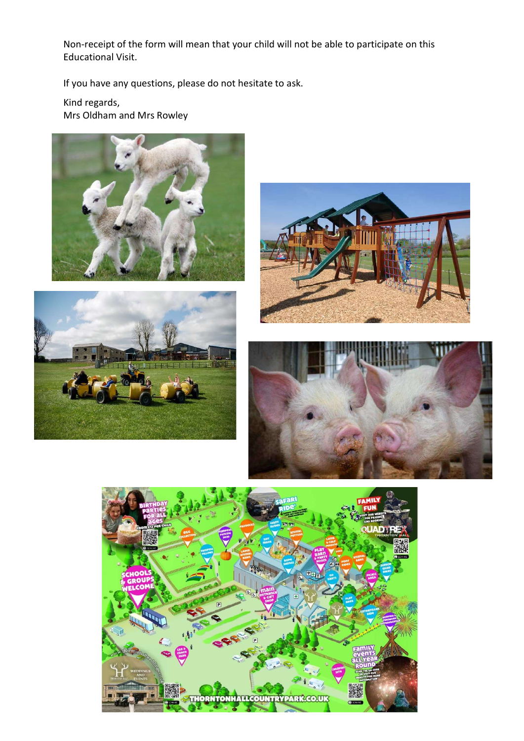Non-receipt of the form will mean that your child will not be able to participate on this Educational Visit.

If you have any questions, please do not hesitate to ask.

Kind regards, Mrs Oldham and Mrs Rowley